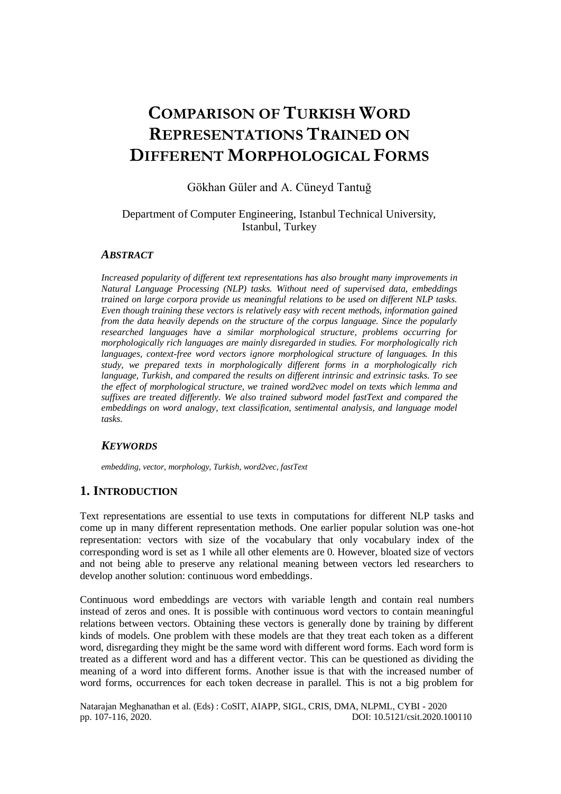# **COMPARISON OF TURKISH WORD REPRESENTATIONS TRAINED ON DIFFERENT MORPHOLOGICAL FORMS**

# Gökhan Güler and A. Cüneyd Tantuğ

# Department of Computer Engineering, Istanbul Technical University, Istanbul, Turkey

# *ABSTRACT*

*Increased popularity of different text representations has also brought many improvements in Natural Language Processing (NLP) tasks. Without need of supervised data, embeddings trained on large corpora provide us meaningful relations to be used on different NLP tasks. Even though training these vectors is relatively easy with recent methods, information gained from the data heavily depends on the structure of the corpus language. Since the popularly researched languages have a similar morphological structure, problems occurring for morphologically rich languages are mainly disregarded in studies. For morphologically rich languages, context-free word vectors ignore morphological structure of languages. In this study, we prepared texts in morphologically different forms in a morphologically rich language, Turkish, and compared the results on different intrinsic and extrinsic tasks. To see the effect of morphological structure, we trained word2vec model on texts which lemma and suffixes are treated differently. We also trained subword model fastText and compared the embeddings on word analogy, text classification, sentimental analysis, and language model tasks.*

# *KEYWORDS*

*embedding, vector, morphology, Turkish, word2vec, fastText* 

# **1. INTRODUCTION**

Text representations are essential to use texts in computations for different NLP tasks and come up in many different representation methods. One earlier popular solution was one-hot representation: vectors with size of the vocabulary that only vocabulary index of the corresponding word is set as 1 while all other elements are 0. However, bloated size of vectors and not being able to preserve any relational meaning between vectors led researchers to develop another solution: continuous word embeddings.

Continuous word embeddings are vectors with variable length and contain real numbers instead of zeros and ones. It is possible with continuous word vectors to contain meaningful relations between vectors. Obtaining these vectors is generally done by training by different kinds of models. One problem with these models are that they treat each token as a different word, disregarding they might be the same word with different word forms. Each word form is treated as a different word and has a different vector. This can be questioned as dividing the meaning of a word into different forms. Another issue is that with the increased number of word forms, occurrences for each token decrease in parallel. This is not a big problem for

Natarajan Meghanathan et al. (Eds) : CoSIT, AIAPP, SIGL, CRIS, DMA, NLPML, CYBI - 2020 pp. 107-116, 2020. DOI: 10.5121/csit.2020.100110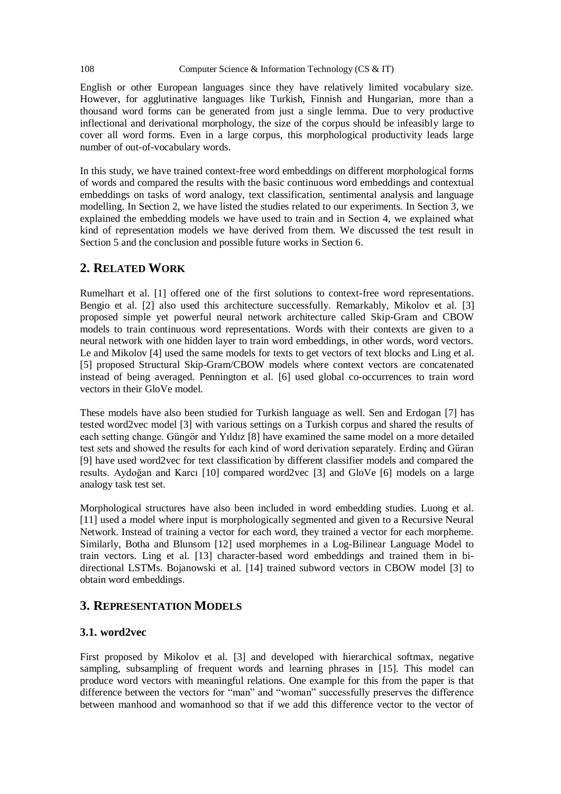English or other European languages since they have relatively limited vocabulary size. However, for agglutinative languages like Turkish, Finnish and Hungarian, more than a thousand word forms can be generated from just a single lemma. Due to very productive inflectional and derivational morphology, the size of the corpus should be infeasibly large to cover all word forms. Even in a large corpus, this morphological productivity leads large number of out-of-vocabulary words.

In this study, we have trained context-free word embeddings on different morphological forms of words and compared the results with the basic continuous word embeddings and contextual embeddings on tasks of word analogy, text classification, sentimental analysis and language modelling. In Section 2, we have listed the studies related to our experiments. In Section 3, we explained the embedding models we have used to train and in Section 4, we explained what kind of representation models we have derived from them. We discussed the test result in Section 5 and the conclusion and possible future works in Section 6.

# **2. RELATED WORK**

Rumelhart et al. [1] offered one of the first solutions to context-free word representations. Bengio et al. [2] also used this architecture successfully. Remarkably, Mikolov et al. [3] proposed simple yet powerful neural network architecture called Skip-Gram and CBOW models to train continuous word representations. Words with their contexts are given to a neural network with one hidden layer to train word embeddings, in other words, word vectors. Le and Mikolov [4] used the same models for texts to get vectors of text blocks and Ling et al. [5] proposed Structural Skip-Gram/CBOW models where context vectors are concatenated instead of being averaged. Pennington et al. [6] used global co-occurrences to train word vectors in their GloVe model.

These models have also been studied for Turkish language as well. Sen and Erdogan [7] has tested word2vec model [3] with various settings on a Turkish corpus and shared the results of each setting change. Güngör and Yıldız [8] have examined the same model on a more detailed test sets and showed the results for each kind of word derivation separately. Erdinç and Güran [9] have used word2vec for text classification by different classifier models and compared the results. Aydoğan and Karcı [10] compared word2vec [3] and GloVe [6] models on a large analogy task test set.

Morphological structures have also been included in word embedding studies. Luong et al. [11] used a model where input is morphologically segmented and given to a Recursive Neural Network. Instead of training a vector for each word, they trained a vector for each morpheme. Similarly, Botha and Blunsom [12] used morphemes in a Log-Bilinear Language Model to train vectors. Ling et al. [13] character-based word embeddings and trained them in bidirectional LSTMs. Bojanowski et al. [14] trained subword vectors in CBOW model [3] to obtain word embeddings.

# **3. REPRESENTATION MODELS**

### **3.1. word2vec**

First proposed by Mikolov et al. [3] and developed with hierarchical softmax, negative sampling, subsampling of frequent words and learning phrases in [15]. This model can produce word vectors with meaningful relations. One example for this from the paper is that difference between the vectors for "man" and "woman" successfully preserves the difference between manhood and womanhood so that if we add this difference vector to the vector of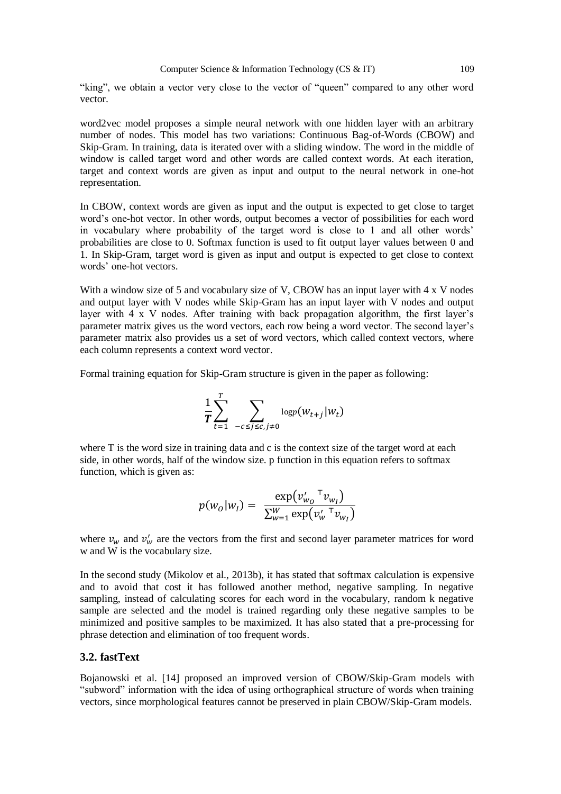"king", we obtain a vector very close to the vector of "queen" compared to any other word vector.

word2vec model proposes a simple neural network with one hidden layer with an arbitrary number of nodes. This model has two variations: Continuous Bag-of-Words (CBOW) and Skip-Gram. In training, data is iterated over with a sliding window. The word in the middle of window is called target word and other words are called context words. At each iteration, target and context words are given as input and output to the neural network in one-hot representation.

In CBOW, context words are given as input and the output is expected to get close to target word's one-hot vector. In other words, output becomes a vector of possibilities for each word in vocabulary where probability of the target word is close to 1 and all other words' probabilities are close to 0. Softmax function is used to fit output layer values between 0 and 1. In Skip-Gram, target word is given as input and output is expected to get close to context words' one-hot vectors.

With a window size of 5 and vocabulary size of V, CBOW has an input layer with 4 x V nodes and output layer with V nodes while Skip-Gram has an input layer with V nodes and output layer with 4 x V nodes. After training with back propagation algorithm, the first layer's parameter matrix gives us the word vectors, each row being a word vector. The second layer's parameter matrix also provides us a set of word vectors, which called context vectors, where each column represents a context word vector.

Formal training equation for Skip-Gram structure is given in the paper as following:

$$
\frac{1}{T}\sum_{t=1}^T \sum_{-c \leq j \leq c, j \neq 0} \log p(w_{t+j}|w_t)
$$

where T is the word size in training data and c is the context size of the target word at each side, in other words, half of the window size. p function in this equation refers to softmax function, which is given as:

$$
p(w_0|w_1) = \frac{\exp(v_{w_0}^{\prime \top} v_{w_1})}{\sum_{w=1}^{W} \exp(v_w^{\prime \top} v_{w_1})}
$$

where  $v_w$  and  $v'_w$  are the vectors from the first and second layer parameter matrices for word w and W is the vocabulary size.

In the second study (Mikolov et al., 2013b), it has stated that softmax calculation is expensive and to avoid that cost it has followed another method, negative sampling. In negative sampling, instead of calculating scores for each word in the vocabulary, random k negative sample are selected and the model is trained regarding only these negative samples to be minimized and positive samples to be maximized. It has also stated that a pre-processing for phrase detection and elimination of too frequent words.

### **3.2. fastText**

Bojanowski et al. [14] proposed an improved version of CBOW/Skip-Gram models with "subword" information with the idea of using orthographical structure of words when training vectors, since morphological features cannot be preserved in plain CBOW/Skip-Gram models.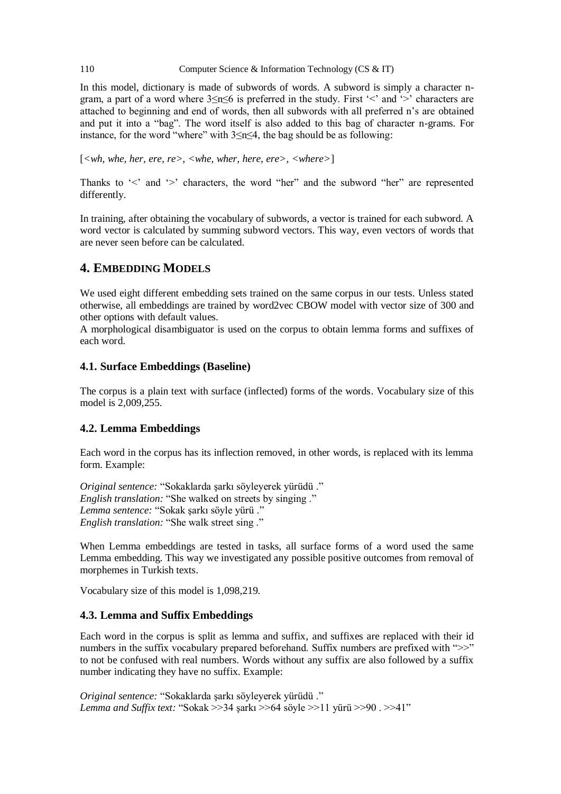In this model, dictionary is made of subwords of words. A subword is simply a character ngram, a part of a word where 3≤n≤6 is preferred in the study. First '<' and '>' characters are attached to beginning and end of words, then all subwords with all preferred n's are obtained and put it into a "bag". The word itself is also added to this bag of character n-grams. For instance, for the word "where" with 3≤n≤4, the bag should be as following:

[*<wh, whe, her, ere, re>, <whe, wher, here, ere>, <where>*]

Thanks to '<' and '>' characters, the word "her" and the subword "her" are represented differently.

In training, after obtaining the vocabulary of subwords, a vector is trained for each subword. A word vector is calculated by summing subword vectors. This way, even vectors of words that are never seen before can be calculated.

# **4. EMBEDDING MODELS**

We used eight different embedding sets trained on the same corpus in our tests. Unless stated otherwise, all embeddings are trained by word2vec CBOW model with vector size of 300 and other options with default values.

A morphological disambiguator is used on the corpus to obtain lemma forms and suffixes of each word.

### **4.1. Surface Embeddings (Baseline)**

The corpus is a plain text with surface (inflected) forms of the words. Vocabulary size of this model is 2,009,255.

### **4.2. Lemma Embeddings**

Each word in the corpus has its inflection removed, in other words, is replaced with its lemma form. Example:

*Original sentence:* "Sokaklarda şarkı söyleyerek yürüdü ." *English translation:* "She walked on streets by singing ." *Lemma sentence:* "Sokak şarkı söyle yürü ." *English translation:* "She walk street sing ."

When Lemma embeddings are tested in tasks, all surface forms of a word used the same Lemma embedding. This way we investigated any possible positive outcomes from removal of morphemes in Turkish texts.

Vocabulary size of this model is 1,098,219.

### **4.3. Lemma and Suffix Embeddings**

Each word in the corpus is split as lemma and suffix, and suffixes are replaced with their id numbers in the suffix vocabulary prepared beforehand. Suffix numbers are prefixed with " $>>$ " to not be confused with real numbers. Words without any suffix are also followed by a suffix number indicating they have no suffix. Example:

*Original sentence:* "Sokaklarda şarkı söyleyerek yürüdü ." *Lemma and Suffix text:* "Sokak >>34 şarkı >>64 söyle >>11 yürü >>90 . >>41"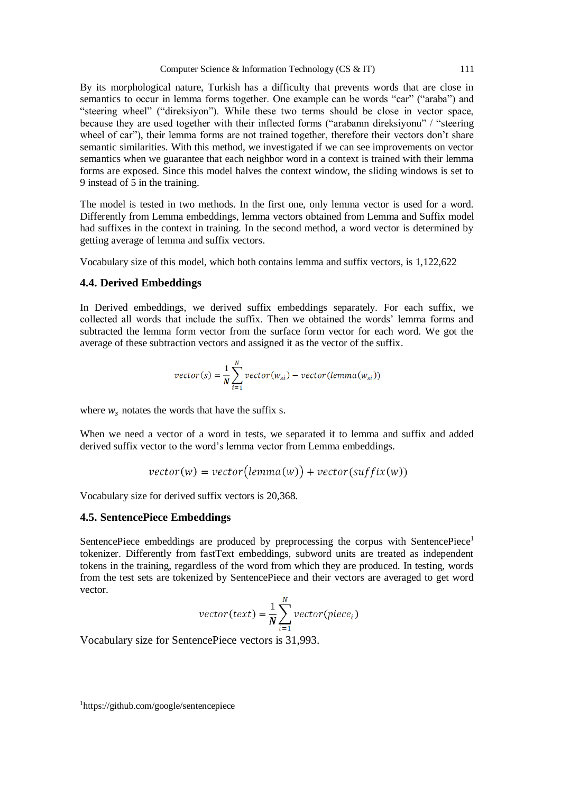By its morphological nature, Turkish has a difficulty that prevents words that are close in semantics to occur in lemma forms together. One example can be words "car" ("araba") and "steering wheel" ("direksiyon"). While these two terms should be close in vector space, because they are used together with their inflected forms ("arabanın direksiyonu" / "steering wheel of car"), their lemma forms are not trained together, therefore their vectors don't share semantic similarities. With this method, we investigated if we can see improvements on vector semantics when we guarantee that each neighbor word in a context is trained with their lemma forms are exposed. Since this model halves the context window, the sliding windows is set to 9 instead of 5 in the training.

The model is tested in two methods. In the first one, only lemma vector is used for a word. Differently from Lemma embeddings, lemma vectors obtained from Lemma and Suffix model had suffixes in the context in training. In the second method, a word vector is determined by getting average of lemma and suffix vectors.

Vocabulary size of this model, which both contains lemma and suffix vectors, is 1,122,622

### **4.4. Derived Embeddings**

In Derived embeddings, we derived suffix embeddings separately. For each suffix, we collected all words that include the suffix. Then we obtained the words' lemma forms and subtracted the lemma form vector from the surface form vector for each word. We got the average of these subtraction vectors and assigned it as the vector of the suffix.

$$
vector(s) = \frac{1}{N} \sum_{i=1}^{N} vector(w_{si}) - vector(lemma(w_{si}))
$$

where  $w_s$  notates the words that have the suffix s.

When we need a vector of a word in tests, we separated it to lemma and suffix and added derived suffix vector to the word's lemma vector from Lemma embeddings.

$$
vector(w) = vector(lemma(w)) + vector(suffix(w))
$$

Vocabulary size for derived suffix vectors is 20,368.

#### **4.5. SentencePiece Embeddings**

SentencePiece embeddings are produced by preprocessing the corpus with SentencePiece<sup>1</sup> tokenizer. Differently from fastText embeddings, subword units are treated as independent tokens in the training, regardless of the word from which they are produced. In testing, words from the test sets are tokenized by SentencePiece and their vectors are averaged to get word vector.

$$
vector(text) = \frac{1}{N} \sum_{i=1}^{N} vector(piece_i)
$$

Vocabulary size for SentencePiece vectors is 31,993.

1https://github.com/google/sentencepiece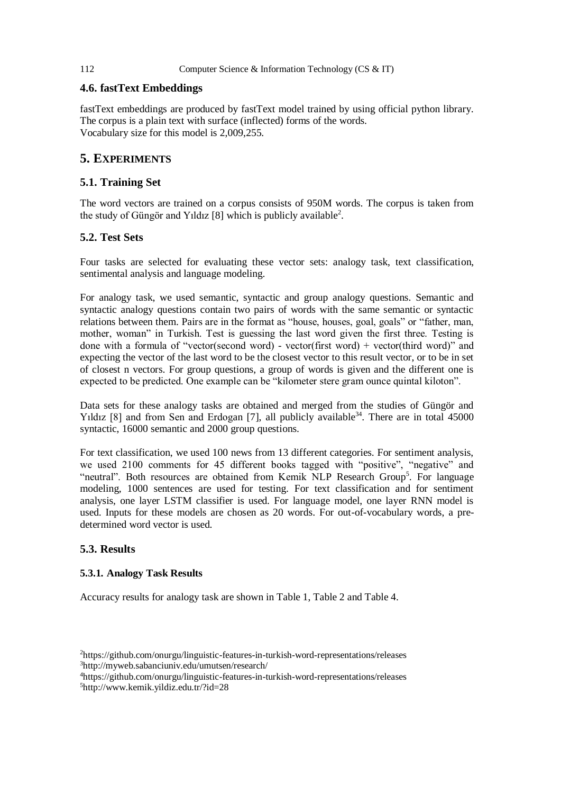# **4.6. fastText Embeddings**

fastText embeddings are produced by fastText model trained by using official python library. The corpus is a plain text with surface (inflected) forms of the words. Vocabulary size for this model is 2,009,255.

# **5. EXPERIMENTS**

# **5.1. Training Set**

The word vectors are trained on a corpus consists of 950M words. The corpus is taken from the study of Güngör and Yıldız [8] which is publicly available<sup>2</sup>.

# **5.2. Test Sets**

Four tasks are selected for evaluating these vector sets: analogy task, text classification, sentimental analysis and language modeling.

For analogy task, we used semantic, syntactic and group analogy questions. Semantic and syntactic analogy questions contain two pairs of words with the same semantic or syntactic relations between them. Pairs are in the format as "house, houses, goal, goals" or "father, man, mother, woman" in Turkish. Test is guessing the last word given the first three. Testing is done with a formula of "vector(second word) - vector(first word) + vector(third word)" and expecting the vector of the last word to be the closest vector to this result vector, or to be in set of closest n vectors. For group questions, a group of words is given and the different one is expected to be predicted. One example can be "kilometer stere gram ounce quintal kiloton".

Data sets for these analogy tasks are obtained and merged from the studies of Güngör and Yıldız [8] and from Sen and Erdogan [7], all publicly available<sup>34</sup>. There are in total 45000 syntactic, 16000 semantic and 2000 group questions.

For text classification, we used 100 news from 13 different categories. For sentiment analysis, we used 2100 comments for 45 different books tagged with "positive", "negative" and "neutral". Both resources are obtained from Kemik NLP Research Group<sup>5</sup>. For language modeling, 1000 sentences are used for testing. For text classification and for sentiment analysis, one layer LSTM classifier is used. For language model, one layer RNN model is used. Inputs for these models are chosen as 20 words. For out-of-vocabulary words, a predetermined word vector is used.

# **5.3. Results**

### **5.3.1. Analogy Task Results**

Accuracy results for analogy task are shown in Table 1, Table 2 and Table 4.

<sup>2</sup>https://github.com/onurgu/linguistic-features-in-turkish-word-representations/releases <sup>3</sup>http://myweb.sabanciuniv.edu/umutsen/research/

<sup>4</sup>https://github.com/onurgu/linguistic-features-in-turkish-word-representations/releases 5http://www.kemik.yildiz.edu.tr/?id=28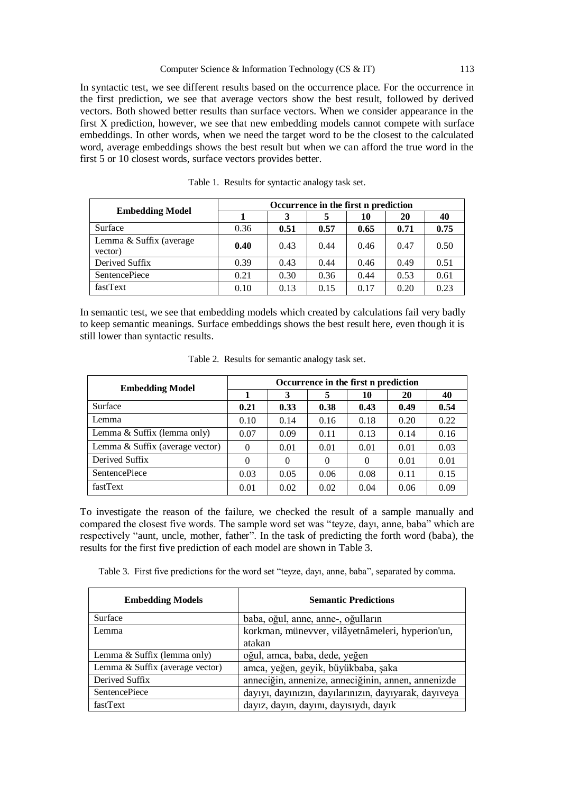In syntactic test, we see different results based on the occurrence place. For the occurrence in the first prediction, we see that average vectors show the best result, followed by derived vectors. Both showed better results than surface vectors. When we consider appearance in the first X prediction, however, we see that new embedding models cannot compete with surface embeddings. In other words, when we need the target word to be the closest to the calculated word, average embeddings shows the best result but when we can afford the true word in the first 5 or 10 closest words, surface vectors provides better.

| <b>Embedding Model</b>             | Occurrence in the first n prediction |      |      |      |      |      |  |
|------------------------------------|--------------------------------------|------|------|------|------|------|--|
|                                    |                                      |      |      | 10   | 20   | 40   |  |
| Surface                            | 0.36                                 | 0.51 | 0.57 | 0.65 | 0.71 | 0.75 |  |
| Lemma & Suffix (average<br>vector) | 0.40                                 | 0.43 | 0.44 | 0.46 | 0.47 | 0.50 |  |
| Derived Suffix                     | 0.39                                 | 0.43 | 0.44 | 0.46 | 0.49 | 0.51 |  |
| <b>SentencePiece</b>               | 0.21                                 | 0.30 | 0.36 | 0.44 | 0.53 | 0.61 |  |
| fastText                           | 0.10                                 | 0.13 | 0.15 | 0.17 | 0.20 | 0.23 |  |

|  |  |  | Table 1. Results for syntactic analogy task set. |  |  |  |
|--|--|--|--------------------------------------------------|--|--|--|
|--|--|--|--------------------------------------------------|--|--|--|

In semantic test, we see that embedding models which created by calculations fail very badly to keep semantic meanings. Surface embeddings shows the best result here, even though it is still lower than syntactic results.

| <b>Embedding Model</b>          | Occurrence in the first n prediction |          |          |          |      |      |  |
|---------------------------------|--------------------------------------|----------|----------|----------|------|------|--|
|                                 |                                      | 3        | 5        | 10       | 20   | 40   |  |
| Surface                         | 0.21                                 | 0.33     | 0.38     | 0.43     | 0.49 | 0.54 |  |
| Lemma                           | 0.10                                 | 0.14     | 0.16     | 0.18     | 0.20 | 0.22 |  |
| Lemma & Suffix (lemma only)     | 0.07                                 | 0.09     | 0.11     | 0.13     | 0.14 | 0.16 |  |
| Lemma & Suffix (average vector) | $\Omega$                             | 0.01     | 0.01     | 0.01     | 0.01 | 0.03 |  |
| Derived Suffix                  | $\Omega$                             | $\Omega$ | $\Omega$ | $\Omega$ | 0.01 | 0.01 |  |
| <b>SentencePiece</b>            | 0.03                                 | 0.05     | 0.06     | 0.08     | 0.11 | 0.15 |  |
| fastText                        | 0.01                                 | 0.02     | 0.02     | 0.04     | 0.06 | 0.09 |  |

Table 2. Results for semantic analogy task set.

To investigate the reason of the failure, we checked the result of a sample manually and compared the closest five words. The sample word set was "teyze, dayı, anne, baba" which are respectively "aunt, uncle, mother, father". In the task of predicting the forth word (baba), the results for the first five prediction of each model are shown in Table 3.

Table 3. First five predictions for the word set "teyze, dayı, anne, baba", separated by comma.

| <b>Embedding Models</b>         | <b>Semantic Predictions</b>                           |
|---------------------------------|-------------------------------------------------------|
| Surface                         | baba, oğul, anne, anne-, oğulların                    |
| Lemma                           | korkman, münevver, vilâyetnâmeleri, hyperion'un,      |
|                                 | atakan                                                |
| Lemma & Suffix (lemma only)     | oğul, amca, baba, dede, yeğen                         |
| Lemma & Suffix (average vector) | amca, yeğen, geyik, büyükbaba, şaka                   |
| Derived Suffix                  | anneciğin, annenize, anneciğinin, annen, annenizde    |
| <b>SentencePiece</b>            | dayıyı, dayınızın, dayılarınızın, dayıyarak, dayıveya |
| fastText                        | dayız, dayın, dayını, dayısıydı, dayık                |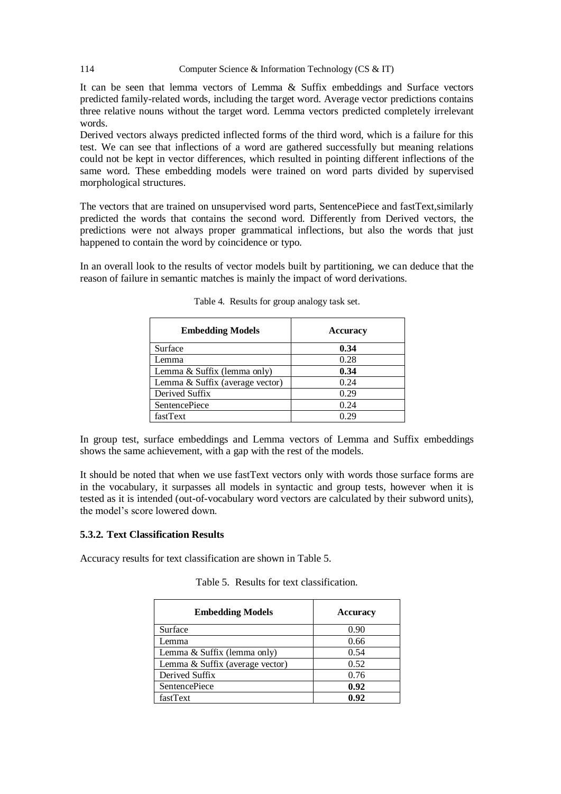It can be seen that lemma vectors of Lemma & Suffix embeddings and Surface vectors predicted family-related words, including the target word. Average vector predictions contains three relative nouns without the target word. Lemma vectors predicted completely irrelevant words.

Derived vectors always predicted inflected forms of the third word, which is a failure for this test. We can see that inflections of a word are gathered successfully but meaning relations could not be kept in vector differences, which resulted in pointing different inflections of the same word. These embedding models were trained on word parts divided by supervised morphological structures.

The vectors that are trained on unsupervised word parts, SentencePiece and fastText,similarly predicted the words that contains the second word. Differently from Derived vectors, the predictions were not always proper grammatical inflections, but also the words that just happened to contain the word by coincidence or typo.

In an overall look to the results of vector models built by partitioning, we can deduce that the reason of failure in semantic matches is mainly the impact of word derivations.

| <b>Embedding Models</b>         | <b>Accuracy</b> |
|---------------------------------|-----------------|
| Surface                         | 0.34            |
| Lemma                           | 0.28            |
| Lemma & Suffix (lemma only)     | 0.34            |
| Lemma & Suffix (average vector) | 0.24            |
| Derived Suffix                  | 0.29            |
| <b>SentencePiece</b>            | 0.24            |
| fastText                        | በ 29            |

Table 4. Results for group analogy task set.

In group test, surface embeddings and Lemma vectors of Lemma and Suffix embeddings shows the same achievement, with a gap with the rest of the models.

It should be noted that when we use fastText vectors only with words those surface forms are in the vocabulary, it surpasses all models in syntactic and group tests, however when it is tested as it is intended (out-of-vocabulary word vectors are calculated by their subword units), the model's score lowered down.

### **5.3.2. Text Classification Results**

Accuracy results for text classification are shown in Table 5.

|  |  | Table 5. Results for text classification. |
|--|--|-------------------------------------------|
|  |  |                                           |

| <b>Embedding Models</b>         | <b>Accuracy</b> |
|---------------------------------|-----------------|
| Surface                         | 0.90            |
| Lemma                           | 0.66            |
| Lemma & Suffix (lemma only)     | 0.54            |
| Lemma & Suffix (average vector) | 0.52            |
| Derived Suffix                  | 0.76            |
| <b>SentencePiece</b>            | 0.92            |
| fastText                        | 0.92            |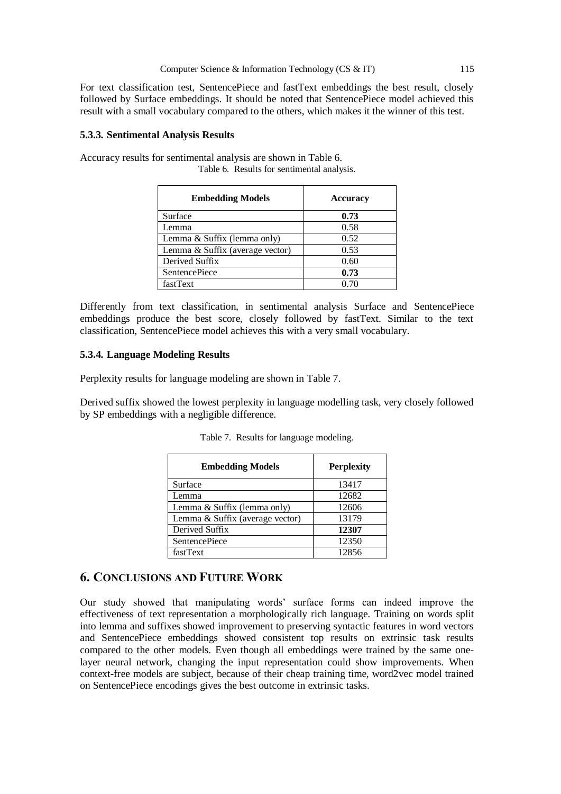For text classification test, SentencePiece and fastText embeddings the best result, closely followed by Surface embeddings. It should be noted that SentencePiece model achieved this result with a small vocabulary compared to the others, which makes it the winner of this test.

#### **5.3.3. Sentimental Analysis Results**

Accuracy results for sentimental analysis are shown in Table 6. Table 6. Results for sentimental analysis.

| <b>Embedding Models</b>         | <b>Accuracy</b> |
|---------------------------------|-----------------|
| Surface                         | 0.73            |
| Lemma                           | 0.58            |
| Lemma & Suffix (lemma only)     | 0.52            |
| Lemma & Suffix (average vector) | 0.53            |
| Derived Suffix                  | 0.60            |
| <b>SentencePiece</b>            | 0.73            |
| fastText                        | 0.70            |

Differently from text classification, in sentimental analysis Surface and SentencePiece embeddings produce the best score, closely followed by fastText. Similar to the text classification, SentencePiece model achieves this with a very small vocabulary.

### **5.3.4. Language Modeling Results**

Perplexity results for language modeling are shown in Table 7.

Derived suffix showed the lowest perplexity in language modelling task, very closely followed by SP embeddings with a negligible difference.

| <b>Embedding Models</b>         | <b>Perplexity</b> |
|---------------------------------|-------------------|
| Surface                         | 13417             |
| Lemma                           | 12682             |
| Lemma & Suffix (lemma only)     | 12606             |
| Lemma & Suffix (average vector) | 13179             |
| Derived Suffix                  | 12307             |
| <b>SentencePiece</b>            | 12350             |
| fastText                        | 12856             |

Table 7. Results for language modeling.

# **6. CONCLUSIONS AND FUTURE WORK**

Our study showed that manipulating words' surface forms can indeed improve the effectiveness of text representation a morphologically rich language. Training on words split into lemma and suffixes showed improvement to preserving syntactic features in word vectors and SentencePiece embeddings showed consistent top results on extrinsic task results compared to the other models. Even though all embeddings were trained by the same onelayer neural network, changing the input representation could show improvements. When context-free models are subject, because of their cheap training time, word2vec model trained on SentencePiece encodings gives the best outcome in extrinsic tasks.